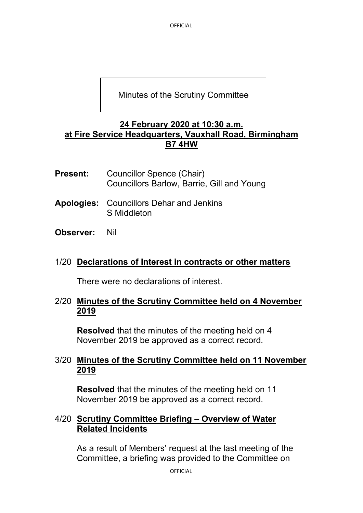OFFICIAL

# Minutes of the Scrutiny Committee

#### **24 February 2020 at 10:30 a.m. at Fire Service Headquarters, Vauxhall Road, Birmingham B7 4HW**

- **Present:** Councillor Spence (Chair) Councillors Barlow, Barrie, Gill and Young
- **Apologies:** Councillors Dehar and Jenkins S Middleton
- **Observer:** Nil

### 1/20 **Declarations of Interest in contracts or other matters**

There were no declarations of interest.

### 2/20 **Minutes of the Scrutiny Committee held on 4 November 2019**

**Resolved** that the minutes of the meeting held on 4 November 2019 be approved as a correct record.

### 3/20 **Minutes of the Scrutiny Committee held on 11 November 2019**

**Resolved** that the minutes of the meeting held on 11 November 2019 be approved as a correct record.

## 4/20 **Scrutiny Committee Briefing – Overview of Water Related Incidents**

As a result of Members' request at the last meeting of the Committee, a briefing was provided to the Committee on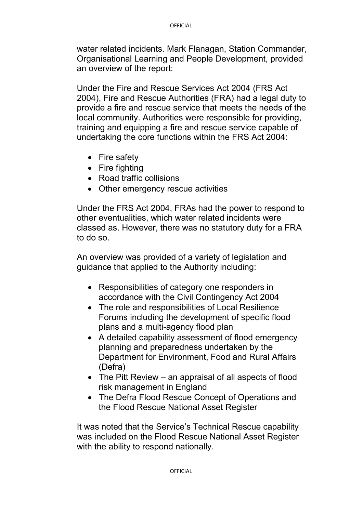water related incidents. Mark Flanagan, Station Commander, Organisational Learning and People Development, provided an overview of the report:

Under the Fire and Rescue Services Act 2004 (FRS Act 2004), Fire and Rescue Authorities (FRA) had a legal duty to provide a fire and rescue service that meets the needs of the local community. Authorities were responsible for providing, training and equipping a fire and rescue service capable of undertaking the core functions within the FRS Act 2004:

- Fire safety
- Fire fighting
- Road traffic collisions
- Other emergency rescue activities

Under the FRS Act 2004, FRAs had the power to respond to other eventualities, which water related incidents were classed as. However, there was no statutory duty for a FRA to do so.

An overview was provided of a variety of legislation and guidance that applied to the Authority including:

- Responsibilities of category one responders in accordance with the Civil Contingency Act 2004
- The role and responsibilities of Local Resilience Forums including the development of specific flood plans and a multi-agency flood plan
- A detailed capability assessment of flood emergency planning and preparedness undertaken by the Department for Environment, Food and Rural Affairs (Defra)
- The Pitt Review an appraisal of all aspects of flood risk management in England
- The Defra Flood Rescue Concept of Operations and the Flood Rescue National Asset Register

It was noted that the Service's Technical Rescue capability was included on the Flood Rescue National Asset Register with the ability to respond nationally.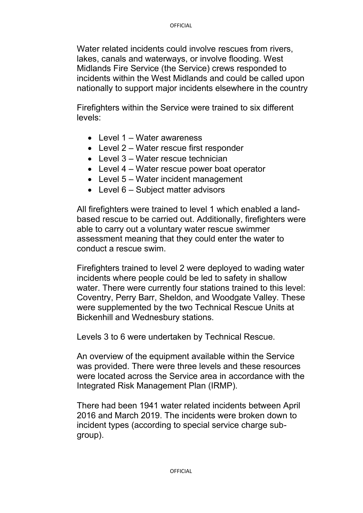Water related incidents could involve rescues from rivers, lakes, canals and waterways, or involve flooding. West Midlands Fire Service (the Service) crews responded to incidents within the West Midlands and could be called upon nationally to support major incidents elsewhere in the country

Firefighters within the Service were trained to six different levels:

- Level 1 Water awareness
- Level 2 Water rescue first responder
- Level 3 Water rescue technician
- Level 4 Water rescue power boat operator
- Level 5 Water incident management
- Level 6 Subject matter advisors

All firefighters were trained to level 1 which enabled a landbased rescue to be carried out. Additionally, firefighters were able to carry out a voluntary water rescue swimmer assessment meaning that they could enter the water to conduct a rescue swim.

Firefighters trained to level 2 were deployed to wading water incidents where people could be led to safety in shallow water. There were currently four stations trained to this level: Coventry, Perry Barr, Sheldon, and Woodgate Valley. These were supplemented by the two Technical Rescue Units at Bickenhill and Wednesbury stations.

Levels 3 to 6 were undertaken by Technical Rescue.

An overview of the equipment available within the Service was provided. There were three levels and these resources were located across the Service area in accordance with the Integrated Risk Management Plan (IRMP).

There had been 1941 water related incidents between April 2016 and March 2019. The incidents were broken down to incident types (according to special service charge subgroup).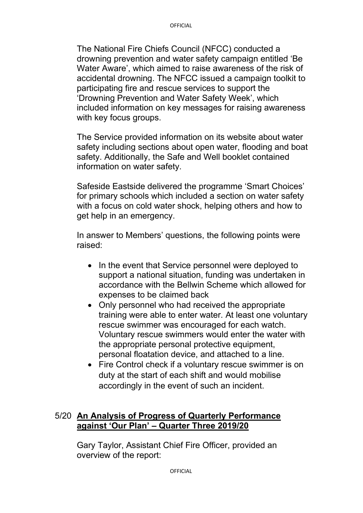The National Fire Chiefs Council (NFCC) conducted a drowning prevention and water safety campaign entitled 'Be Water Aware', which aimed to raise awareness of the risk of accidental drowning. The NFCC issued a campaign toolkit to participating fire and rescue services to support the 'Drowning Prevention and Water Safety Week', which included information on key messages for raising awareness with key focus groups.

The Service provided information on its website about water safety including sections about open water, flooding and boat safety. Additionally, the Safe and Well booklet contained information on water safety.

Safeside Eastside delivered the programme 'Smart Choices' for primary schools which included a section on water safety with a focus on cold water shock, helping others and how to get help in an emergency.

In answer to Members' questions, the following points were raised:

- In the event that Service personnel were deployed to support a national situation, funding was undertaken in accordance with the Bellwin Scheme which allowed for expenses to be claimed back
- Only personnel who had received the appropriate training were able to enter water. At least one voluntary rescue swimmer was encouraged for each watch. Voluntary rescue swimmers would enter the water with the appropriate personal protective equipment, personal floatation device, and attached to a line.
- Fire Control check if a voluntary rescue swimmer is on duty at the start of each shift and would mobilise accordingly in the event of such an incident.

### 5/20 **An Analysis of Progress of Quarterly Performance against 'Our Plan' – Quarter Three 2019/20**

Gary Taylor, Assistant Chief Fire Officer, provided an overview of the report: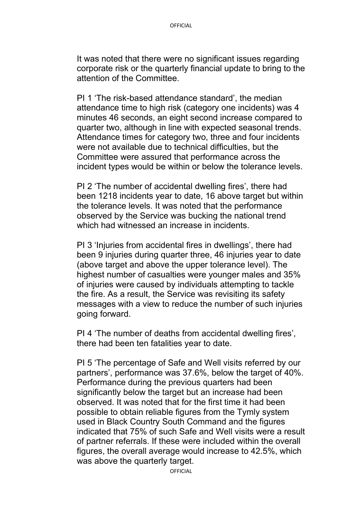It was noted that there were no significant issues regarding corporate risk or the quarterly financial update to bring to the attention of the Committee.

PI 1 'The risk-based attendance standard', the median attendance time to high risk (category one incidents) was 4 minutes 46 seconds, an eight second increase compared to quarter two, although in line with expected seasonal trends. Attendance times for category two, three and four incidents were not available due to technical difficulties, but the Committee were assured that performance across the incident types would be within or below the tolerance levels.

PI 2 'The number of accidental dwelling fires', there had been 1218 incidents year to date, 16 above target but within the tolerance levels. It was noted that the performance observed by the Service was bucking the national trend which had witnessed an increase in incidents.

PI 3 'Injuries from accidental fires in dwellings', there had been 9 injuries during quarter three, 46 injuries year to date (above target and above the upper tolerance level). The highest number of casualties were younger males and 35% of injuries were caused by individuals attempting to tackle the fire. As a result, the Service was revisiting its safety messages with a view to reduce the number of such injuries going forward.

PI 4 'The number of deaths from accidental dwelling fires', there had been ten fatalities year to date.

PI 5 'The percentage of Safe and Well visits referred by our partners', performance was 37.6%, below the target of 40%. Performance during the previous quarters had been significantly below the target but an increase had been observed. It was noted that for the first time it had been possible to obtain reliable figures from the Tymly system used in Black Country South Command and the figures indicated that 75% of such Safe and Well visits were a result of partner referrals. If these were included within the overall figures, the overall average would increase to 42.5%, which was above the quarterly target.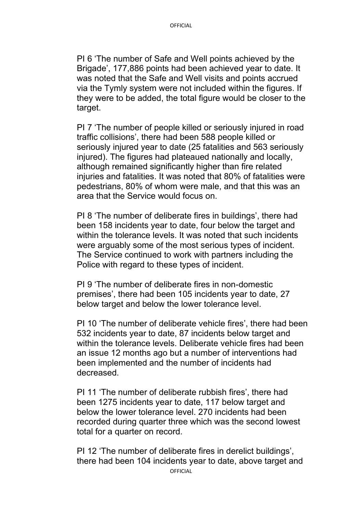PI 6 'The number of Safe and Well points achieved by the Brigade', 177,886 points had been achieved year to date. It was noted that the Safe and Well visits and points accrued via the Tymly system were not included within the figures. If they were to be added, the total figure would be closer to the target.

PI 7 'The number of people killed or seriously injured in road traffic collisions', there had been 588 people killed or seriously injured year to date (25 fatalities and 563 seriously injured). The figures had plateaued nationally and locally. although remained significantly higher than fire related injuries and fatalities. It was noted that 80% of fatalities were pedestrians, 80% of whom were male, and that this was an area that the Service would focus on.

PI 8 'The number of deliberate fires in buildings', there had been 158 incidents year to date, four below the target and within the tolerance levels. It was noted that such incidents were arguably some of the most serious types of incident. The Service continued to work with partners including the Police with regard to these types of incident.

PI 9 'The number of deliberate fires in non-domestic premises', there had been 105 incidents year to date, 27 below target and below the lower tolerance level.

PI 10 'The number of deliberate vehicle fires', there had been 532 incidents year to date, 87 incidents below target and within the tolerance levels. Deliberate vehicle fires had been an issue 12 months ago but a number of interventions had been implemented and the number of incidents had decreased.

PI 11 'The number of deliberate rubbish fires', there had been 1275 incidents year to date, 117 below target and below the lower tolerance level. 270 incidents had been recorded during quarter three which was the second lowest total for a quarter on record.

**OFFICIAL** PI 12 'The number of deliberate fires in derelict buildings', there had been 104 incidents year to date, above target and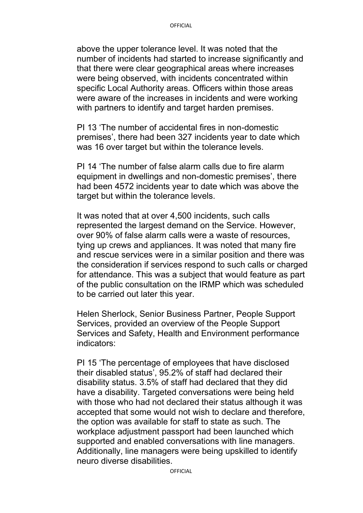above the upper tolerance level. It was noted that the number of incidents had started to increase significantly and that there were clear geographical areas where increases were being observed, with incidents concentrated within specific Local Authority areas. Officers within those areas were aware of the increases in incidents and were working with partners to identify and target harden premises.

PI 13 'The number of accidental fires in non-domestic premises', there had been 327 incidents year to date which was 16 over target but within the tolerance levels.

PI 14 'The number of false alarm calls due to fire alarm equipment in dwellings and non-domestic premises', there had been 4572 incidents year to date which was above the target but within the tolerance levels.

It was noted that at over 4,500 incidents, such calls represented the largest demand on the Service. However, over 90% of false alarm calls were a waste of resources, tying up crews and appliances. It was noted that many fire and rescue services were in a similar position and there was the consideration if services respond to such calls or charged for attendance. This was a subject that would feature as part of the public consultation on the IRMP which was scheduled to be carried out later this year.

Helen Sherlock, Senior Business Partner, People Support Services, provided an overview of the People Support Services and Safety, Health and Environment performance indicators:

PI 15 'The percentage of employees that have disclosed their disabled status', 95.2% of staff had declared their disability status. 3.5% of staff had declared that they did have a disability. Targeted conversations were being held with those who had not declared their status although it was accepted that some would not wish to declare and therefore, the option was available for staff to state as such. The workplace adjustment passport had been launched which supported and enabled conversations with line managers. Additionally, line managers were being upskilled to identify neuro diverse disabilities.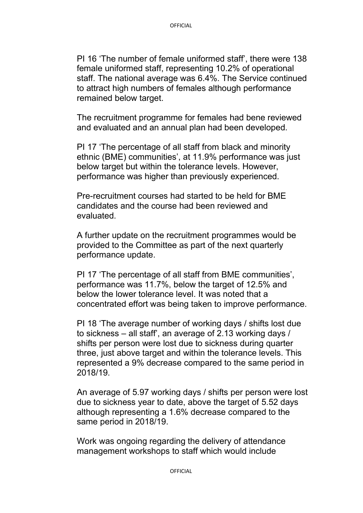PI 16 'The number of female uniformed staff', there were 138 female uniformed staff, representing 10.2% of operational staff. The national average was 6.4%. The Service continued to attract high numbers of females although performance remained below target.

The recruitment programme for females had bene reviewed and evaluated and an annual plan had been developed.

PI 17 'The percentage of all staff from black and minority ethnic (BME) communities', at 11.9% performance was just below target but within the tolerance levels. However, performance was higher than previously experienced.

Pre-recruitment courses had started to be held for BME candidates and the course had been reviewed and evaluated.

A further update on the recruitment programmes would be provided to the Committee as part of the next quarterly performance update.

PI 17 'The percentage of all staff from BME communities', performance was 11.7%, below the target of 12.5% and below the lower tolerance level. It was noted that a concentrated effort was being taken to improve performance.

PI 18 'The average number of working days / shifts lost due to sickness – all staff', an average of 2.13 working days / shifts per person were lost due to sickness during quarter three, just above target and within the tolerance levels. This represented a 9% decrease compared to the same period in 2018/19.

An average of 5.97 working days / shifts per person were lost due to sickness year to date, above the target of 5.52 days although representing a 1.6% decrease compared to the same period in 2018/19.

Work was ongoing regarding the delivery of attendance management workshops to staff which would include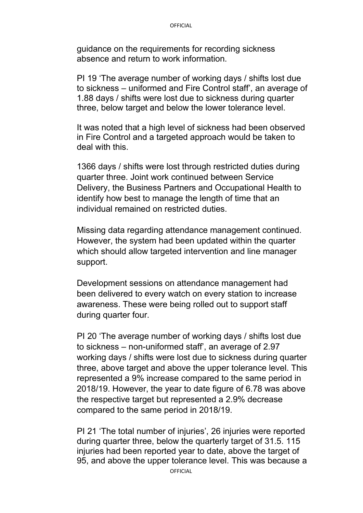guidance on the requirements for recording sickness absence and return to work information.

PI 19 'The average number of working days / shifts lost due to sickness – uniformed and Fire Control staff', an average of 1.88 days / shifts were lost due to sickness during quarter three, below target and below the lower tolerance level.

It was noted that a high level of sickness had been observed in Fire Control and a targeted approach would be taken to deal with this.

1366 days / shifts were lost through restricted duties during quarter three. Joint work continued between Service Delivery, the Business Partners and Occupational Health to identify how best to manage the length of time that an individual remained on restricted duties.

Missing data regarding attendance management continued. However, the system had been updated within the quarter which should allow targeted intervention and line manager support.

Development sessions on attendance management had been delivered to every watch on every station to increase awareness. These were being rolled out to support staff during quarter four.

PI 20 'The average number of working days / shifts lost due to sickness – non-uniformed staff', an average of 2.97 working days / shifts were lost due to sickness during quarter three, above target and above the upper tolerance level. This represented a 9% increase compared to the same period in 2018/19. However, the year to date figure of 6.78 was above the respective target but represented a 2.9% decrease compared to the same period in 2018/19.

PI 21 'The total number of injuries', 26 injuries were reported during quarter three, below the quarterly target of 31.5. 115 injuries had been reported year to date, above the target of 95, and above the upper tolerance level. This was because a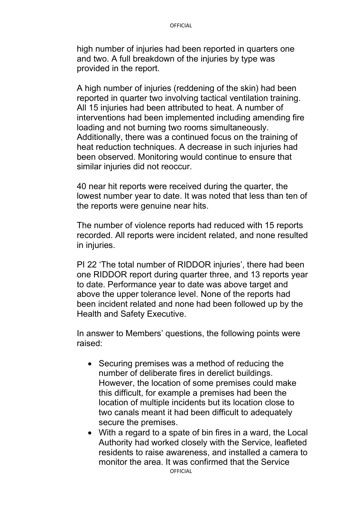high number of injuries had been reported in quarters one and two. A full breakdown of the injuries by type was provided in the report.

A high number of injuries (reddening of the skin) had been reported in quarter two involving tactical ventilation training. All 15 injuries had been attributed to heat. A number of interventions had been implemented including amending fire loading and not burning two rooms simultaneously. Additionally, there was a continued focus on the training of heat reduction techniques. A decrease in such injuries had been observed. Monitoring would continue to ensure that similar injuries did not reoccur.

40 near hit reports were received during the quarter, the lowest number year to date. It was noted that less than ten of the reports were genuine near hits.

The number of violence reports had reduced with 15 reports recorded. All reports were incident related, and none resulted in injuries.

PI 22 'The total number of RIDDOR injuries', there had been one RIDDOR report during quarter three, and 13 reports year to date. Performance year to date was above target and above the upper tolerance level. None of the reports had been incident related and none had been followed up by the Health and Safety Executive.

In answer to Members' questions, the following points were raised:

- Securing premises was a method of reducing the number of deliberate fires in derelict buildings. However, the location of some premises could make this difficult, for example a premises had been the location of multiple incidents but its location close to two canals meant it had been difficult to adequately secure the premises.
- **OFFICIAL** • With a regard to a spate of bin fires in a ward, the Local Authority had worked closely with the Service, leafleted residents to raise awareness, and installed a camera to monitor the area. It was confirmed that the Service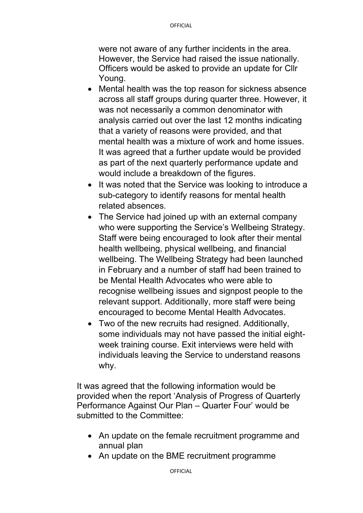were not aware of any further incidents in the area. However, the Service had raised the issue nationally. Officers would be asked to provide an update for Cllr Young.

- Mental health was the top reason for sickness absence across all staff groups during quarter three. However, it was not necessarily a common denominator with analysis carried out over the last 12 months indicating that a variety of reasons were provided, and that mental health was a mixture of work and home issues. It was agreed that a further update would be provided as part of the next quarterly performance update and would include a breakdown of the figures.
- It was noted that the Service was looking to introduce a sub-category to identify reasons for mental health related absences.
- The Service had joined up with an external company who were supporting the Service's Wellbeing Strategy. Staff were being encouraged to look after their mental health wellbeing, physical wellbeing, and financial wellbeing. The Wellbeing Strategy had been launched in February and a number of staff had been trained to be Mental Health Advocates who were able to recognise wellbeing issues and signpost people to the relevant support. Additionally, more staff were being encouraged to become Mental Health Advocates.
- Two of the new recruits had resigned. Additionally, some individuals may not have passed the initial eightweek training course. Exit interviews were held with individuals leaving the Service to understand reasons why.

It was agreed that the following information would be provided when the report 'Analysis of Progress of Quarterly Performance Against Our Plan – Quarter Four' would be submitted to the Committee:

- An update on the female recruitment programme and annual plan
- An update on the BME recruitment programme